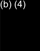# $\left(\frac{1}{2}\right)$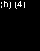# $\left(\frac{1}{2}\right)$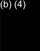# $\left(\frac{1}{2}\right)$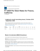An official website of the United States government

**GSA** U.S. General Services Administration **FY 2020 Per Diem Rates for Fresno, California**

I'm interested in:

## **Lodging by month (excluding taxes) | October 2019 - September 2020**

Cities not appearing below may be located within a county for which rates are listed. To determine what county a city is located in, visit the National Association of Counties (NACO) . website (a non-federal website)

| Primary<br><b>Destination</b> | County | 2019<br>Oct | Nov Dec | 2020<br>Jan | Feb | Mar | Apr | May | Jun Jul | Aug | Sep |
|-------------------------------|--------|-------------|---------|-------------|-----|-----|-----|-----|---------|-----|-----|
| Fresno                        | Fresno | \$110       |         |             |     |     |     |     |         |     |     |

### **Meals & Incidentals (M&IE) Breakdown**

Use this table to find the following information for federal employee travel:

**M&IE Total** - the full daily amount received for a single calendar day of travel when that day is neither the first nor last day of travel.

**Breakfast, lunch, dinner, incidentals** - Separate amounts for meals and incidentals. M&IE Total = Breakfast + Lunch + Dinner + Incidentals. Sometimes meal amounts must be deducted from trip voucher. See More Information

**First & last day of travel** - amount received on the first and last day of travel and equals 75% of total M&IE.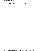| <b>Primary</b><br><b>Destination</b> | County | <b>M&amp;IE Total</b> | <b>Continental</b><br><b>Breakfast/Breakfast</b> | Lunch | <b>Dinner</b> | <b>Incidental</b><br><b>Expenses</b> | <b>First &amp; Last</b><br>Day of Travel |
|--------------------------------------|--------|-----------------------|--------------------------------------------------|-------|---------------|--------------------------------------|------------------------------------------|
| Fresno                               | Fresno | \$66                  | \$16                                             | \$17  | \$28          | \$5                                  | \$49.50                                  |

I'm interested in:

Last Reviewed: 2020-01-10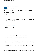An official website of the United States government

**GSA** U.S. General Services Administration

## **FY 2020 Per Diem Rates for Seattle, Washington**

I'm interested in:

## **Lodging by month (excluding taxes) | October 2019 - September 2020**

Cities not appearing below may be located within a county for which rates are listed. To determine what county a city is located in, visit the National Association of Counties (NACO) . website (a non-federal website)

| Primary<br><b>Destination</b> | County | 2019<br>Oct | <b>Nov</b>        | Dec | 2020<br>Jan | Feb | Mar               | Apr | May   | Jun   | Jul   | Aug   | Sep   |
|-------------------------------|--------|-------------|-------------------|-----|-------------|-----|-------------------|-----|-------|-------|-------|-------|-------|
| Seattle                       | King   | \$184       | \$184 \$184 \$184 |     |             |     | \$184 \$184 \$184 |     | \$257 | \$257 | \$257 | \$257 | \$257 |

## **Meals & Incidentals (M&IE) Breakdown**

Use this table to find the following information for federal employee travel:

**M&IE Total** - the full daily amount received for a single calendar day of travel when that day is neither the first nor last day of travel.

**Breakfast, lunch, dinner, incidentals** - Separate amounts for meals and incidentals. M&IE Total = Breakfast + Lunch + Dinner + Incidentals. Sometimes meal amounts must be deducted from trip voucher. See More Information

**First & last day of travel** - amount received on the first and last day of travel and equals 75% of total M&IE.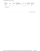| <b>Primary</b><br><b>Destination</b> | County | <b>M&amp;IE Total</b> | <b>Continental</b><br><b>Breakfast/Breakfast</b> | Lunch | <b>Dinner</b> | <b>Incidental</b><br><b>Expenses</b> | <b>First &amp; Last</b><br>Day of Travel |
|--------------------------------------|--------|-----------------------|--------------------------------------------------|-------|---------------|--------------------------------------|------------------------------------------|
| Seattle                              | King   | \$76                  | \$18                                             | \$19  | \$34          | \$5                                  | \$57.00                                  |

I'm interested in:

Last Reviewed: 2020-01-10